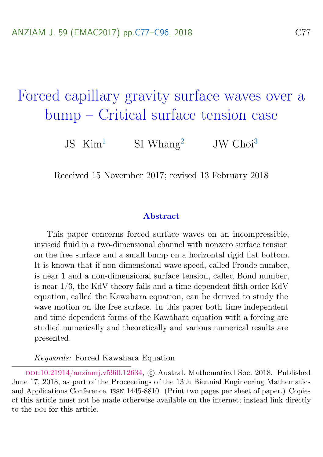# <span id="page-0-0"></span>Forced capillary gravity surface waves over a bump – Critical surface tension case

JS  $\text{Kim}^1$  $\text{Kim}^1$  SI Whang<sup>[2](#page-19-2)</sup> JW Choi<sup>[3](#page-19-0)</sup>

Received 15 November 2017; revised 13 February 2018

#### Abstract

This paper concerns forced surface waves on an incompressible, inviscid fluid in a two-dimensional channel with nonzero surface tension on the free surface and a small bump on a horizontal rigid flat bottom. It is known that if non-dimensional wave speed, called Froude number, is near 1 and a non-dimensional surface tension, called Bond number, is near 1/3, the KdV theory fails and a time dependent fifth order KdV equation, called the Kawahara equation, can be derived to study the wave motion on the free surface. In this paper both time independent and time dependent forms of the Kawahara equation with a forcing are studied numerically and theoretically and various numerical results are presented.

Keywords: Forced Kawahara Equation

doi:[10.21914/anziamj.v59i0.12634,](https://doi.org/10.21914/anziamj.v59i0.12634) c Austral. Mathematical Soc. 2018. Published June 17, 2018, as part of the Proceedings of the 13th Biennial Engineering Mathematics and Applications Conference. issn 1445-8810. (Print two pages per sheet of paper.) Copies of this article must not be made otherwise available on the internet; instead link directly to the pot for this article.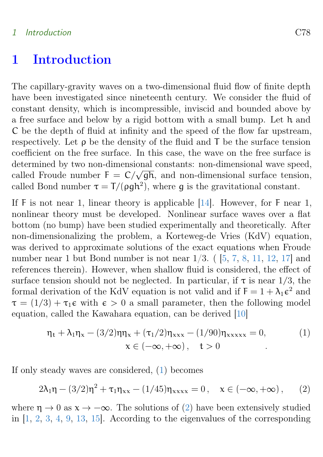#### <span id="page-1-2"></span>1 Introduction C78

### <span id="page-1-0"></span>1 Introduction

The capillary-gravity waves on a two-dimensional fluid flow of finite depth have been investigated since nineteenth century. We consider the fluid of constant density, which is incompressible, inviscid and bounded above by a free surface and below by a rigid bottom with a small bump. Let h and C be the depth of fluid at infinity and the speed of the flow far upstream, respectively. Let  $\rho$  be the density of the fluid and  $\mathsf T$  be the surface tension coefficient on the free surface. In this case, the wave on the free surface is determined by two non-dimensional constants: non-dimensional wave speed, determined by two non-dimensional constants. non-dimensional wave speed,<br>called Froude number  $F = C/\sqrt{gh}$ , and non-dimensional surface tension, called Bond number  $\tau = T/(\rho gh^2)$ , where g is the gravitational constant.

If F is not near 1, linear theory is applicable [\[14\]](#page-18-0). However, for F near 1, nonlinear theory must be developed. Nonlinear surface waves over a flat bottom (no bump) have been studied experimentally and theoretically. After non-dimensionalizing the problem, a Korteweg-de Vries (KdV) equation, was derived to approximate solutions of the exact equations when Froude number near 1 but Bond number is not near  $1/3$ . ( $[5, 7, 8, 11, 12, 17]$  $[5, 7, 8, 11, 12, 17]$  $[5, 7, 8, 11, 12, 17]$  $[5, 7, 8, 11, 12, 17]$  $[5, 7, 8, 11, 12, 17]$  $[5, 7, 8, 11, 12, 17]$  $[5, 7, 8, 11, 12, 17]$  $[5, 7, 8, 11, 12, 17]$  $[5, 7, 8, 11, 12, 17]$  $[5, 7, 8, 11, 12, 17]$  $[5, 7, 8, 11, 12, 17]$  and references therein). However, when shallow fluid is considered, the effect of surface tension should not be neglected. In particular, if  $\tau$  is near 1/3, the formal derivation of the KdV equation is not valid and if  $F = 1 + \lambda_1 \epsilon^2$  and  $\tau = (1/3) + \tau_1 \epsilon$  with  $\epsilon > 0$  a small parameter, then the following model equation, called the Kawahara equation, can be derived [\[10\]](#page-18-5)

$$
\eta_{t} + \lambda_{1}\eta_{x} - (3/2)\eta\eta_{x} + (\tau_{1}/2)\eta_{xxx} - (1/90)\eta_{xxxxx} = 0,
$$
  
\n
$$
x \in (-\infty, +\infty), \quad t > 0
$$
 (1)

If only steady waves are considered, [\(1\)](#page-1-0) becomes

<span id="page-1-1"></span>
$$
2\lambda_1 \eta - (3/2)\eta^2 + \tau_1 \eta_{xx} - (1/45)\eta_{xxxx} = 0, \quad x \in (-\infty, +\infty), \tag{2}
$$

where  $\eta \to 0$  as  $x \to -\infty$ . The solutions of [\(2\)](#page-1-1) have been extensively studied in [\[1,](#page-17-2) [2,](#page-17-3) [3,](#page-17-4) [4,](#page-17-5) [9,](#page-18-6) [13,](#page-18-7) [15\]](#page-18-8). According to the eigenvalues of the corresponding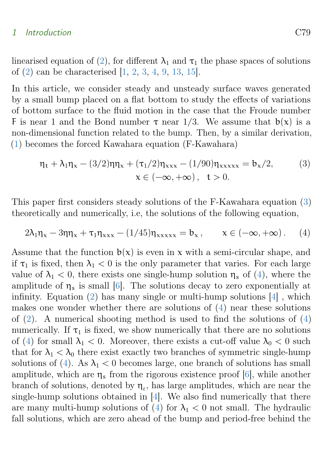#### <span id="page-2-1"></span>1 Introduction C79

linearised equation of [\(2\)](#page-1-1), for different  $\lambda_1$  and  $\tau_1$  the phase spaces of solutions of [\(2\)](#page-1-1) can be characterised [\[1,](#page-17-2) [2,](#page-17-3) [3,](#page-17-4) [4,](#page-17-5) [9,](#page-18-6) [13,](#page-18-7) [15\]](#page-18-8).

In this article, we consider steady and unsteady surface waves generated by a small bump placed on a flat bottom to study the effects of variations of bottom surface to the fluid motion in the case that the Froude number F is near 1 and the Bond number  $\tau$  near 1/3. We assume that  $b(x)$  is a non-dimensional function related to the bump. Then, by a similar derivation, [\(1\)](#page-1-0) becomes the forced Kawahara equation (F-Kawahara)

$$
\eta_t + \lambda_1 \eta_x - (3/2) \eta \eta_x + (\tau_1/2) \eta_{xxx} - (1/90) \eta_{xxxxx} = b_x/2,
$$
  
 
$$
x \in (-\infty, +\infty), \quad t > 0.
$$
 (3)

This paper first considers steady solutions of the F-Kawahara equation [\(3\)](#page-1-1) theoretically and numerically, i.e, the solutions of the following equation,

<span id="page-2-0"></span>
$$
2\lambda_1 \eta_x - 3\eta \eta_x + \tau_1 \eta_{xxx} - (1/45) \eta_{xxxxx} = b_x, \qquad x \in (-\infty, +\infty). \tag{4}
$$

Assume that the function  $b(x)$  is even in x with a semi-circular shape, and if  $\tau_1$  is fixed, then  $\lambda_1 < 0$  is the only parameter that varies. For each large value of  $\lambda_1 < 0$ , there exists one single-hump solution  $\eta_s$  of [\(4\)](#page-2-0), where the amplitude of  $\eta_s$  is small [\[6\]](#page-17-6). The solutions decay to zero exponentially at infinity. Equation  $(2)$  has many single or multi-hump solutions  $[4]$ , which makes one wonder whether there are solutions of [\(4\)](#page-2-0) near these solutions of  $(2)$ . A numerical shooting method is used to find the solutions of  $(4)$ numerically. If  $\tau_1$  is fixed, we show numerically that there are no solutions of [\(4\)](#page-2-0) for small  $\lambda_1 < 0$ . Moreover, there exists a cut-off value  $\lambda_0 < 0$  such that for  $\lambda_1 < \lambda_0$  there exist exactly two branches of symmetric single-hump solutions of [\(4\)](#page-2-0). As  $\lambda_1 < 0$  becomes large, one branch of solutions has small amplitude, which are  $\eta_s$  from the rigorous existence proof [\[6\]](#page-17-6), while another branch of solutions, denoted by  $\eta_{\ell}$ , has large amplitudes, which are near the single-hump solutions obtained in [\[4\]](#page-17-5). We also find numerically that there are many multi-hump solutions of [\(4\)](#page-2-0) for  $\lambda_1 < 0$  not small. The hydraulic fall solutions, which are zero ahead of the bump and period-free behind the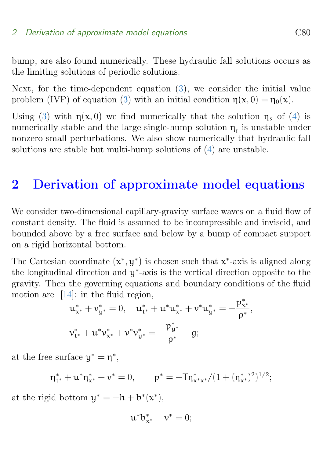#### <span id="page-3-0"></span>2 Derivation of approximate model equations C80

bump, are also found numerically. These hydraulic fall solutions occurs as the limiting solutions of periodic solutions.

Next, for the time-dependent equation [\(3\)](#page-1-1), we consider the initial value problem (IVP) of equation [\(3\)](#page-1-1) with an initial condition  $\eta(x, 0) = \eta_0(x)$ .

Using [\(3\)](#page-1-1) with  $\eta(x,0)$  we find numerically that the solution  $\eta_s$  of [\(4\)](#page-2-0) is numerically stable and the large single-hump solution  $\eta_{\ell}$  is unstable under nonzero small perturbations. We also show numerically that hydraulic fall solutions are stable but multi-hump solutions of [\(4\)](#page-2-0) are unstable.

### 2 Derivation of approximate model equations

We consider two-dimensional capillary-gravity surface waves on a fluid flow of constant density. The fluid is assumed to be incompressible and inviscid, and bounded above by a free surface and below by a bump of compact support on a rigid horizontal bottom.

The Cartesian coordinate  $(x^*, y^*)$  is chosen such that  $x^*$ -axis is aligned along the longitudinal direction and y ∗ -axis is the vertical direction opposite to the gravity. Then the governing equations and boundary conditions of the fluid motion are [\[14\]](#page-18-0): in the fluid region, ∗

$$
u_{x^*}^* + v_{y^*}^* = 0, \quad u_{t^*}^* + u^* u_{x^*}^* + v^* u_{y^*}^* = -\frac{p_{x^*}^*}{\rho^*},
$$
  

$$
v_{t^*}^* + u^* v_{x^*}^* + v^* v_{y^*}^* = -\frac{p_{y^*}^*}{\rho^*} - g;
$$

at the free surface  $y^* = \eta^*$ ,

$$
\eta^*_{t^*} + u^* \eta^*_{x^*} - v^* = 0, \qquad p^* = -T \eta^*_{x^* x^*} / (1 + (\eta^*_{x^*})^2)^{1/2};
$$

at the rigid bottom  $y^* = -h + b^*(x^*),$ 

$$
\mathbf{u}^* \mathbf{b}_{\mathbf{x}^*}^* - \mathbf{v}^* = 0;
$$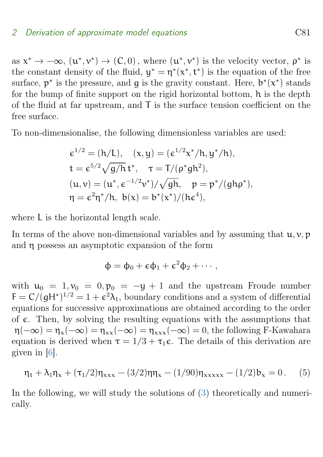#### <span id="page-4-0"></span>2 Derivation of approximate model equations C81

as  $x^* \to -\infty$ ,  $(u^*, v^*) \to (C, 0)$ , where  $(u^*, v^*)$  is the velocity vector,  $\rho^*$  is<br>the constant density of the fluid  $v^*$ ,  $\pi^*(v^*, t^*)$  is the coustion of the fuse the constant density of the fluid,  $y^* = \eta^*(x^*, t^*)$  is the equation of the free surface,  $p^*$  is the pressure, and g is the gravity constant. Here,  $b^*(x^*)$  stands for the bump of finite support on the rigid horizontal bottom, h is the depth of the fluid at far upstream, and T is the surface tension coefficient on the free surface.

To non-dimensionalise, the following dimensionless variables are used:

$$
\epsilon^{1/2} = (h/L), \quad (x, y) = (\epsilon^{1/2} x^* / h, y^* / h),
$$
  
\n
$$
t = \epsilon^{5/2} \sqrt{g/h} t^*, \quad \tau = T/(\rho^* g h^2),
$$
  
\n
$$
(u, v) = (u^*, \epsilon^{-1/2} v^*) / \sqrt{gh}, \quad p = p^* / (gh \rho^*),
$$
  
\n
$$
\eta = \epsilon^2 \eta^* / h, \quad b(x) = b^*(x^*) / (h \epsilon^4),
$$

where L is the horizontal length scale.

In terms of the above non-dimensional variables and by assuming that  $u, v, p$ and η possess an asymptotic expansion of the form

$$
\Phi = \Phi_0 + \varepsilon \Phi_1 + \varepsilon^2 \Phi_2 + \cdots,
$$

with  $u_0 = 1, v_0 = 0, p_0 = -y + 1$  and the upstream Froude number  $F = C/(gH^*)^{1/2} = 1 + \epsilon^2 \lambda_1$ , boundary conditions and a system of differential equations for successive approximations are obtained according to the order of  $\epsilon$ . Then, by solving the resulting equations with the assumptions that  $\eta(-\infty) = \eta_{x}(-\infty) = \eta_{xx}(-\infty) = \eta_{xxx}(-\infty) = 0$ , the following F-Kawahara equation is derived when  $\tau = 1/3 + \tau_1 \epsilon$ . The details of this derivation are given in [\[6\]](#page-17-6).

$$
\eta_t + \lambda_1 \eta_x + (\tau_1/2) \eta_{xxx} - (3/2) \eta \eta_x - (1/90) \eta_{xxxxx} - (1/2) b_x = 0. \tag{5}
$$

In the following, we will study the solutions of [\(3\)](#page-1-1) theoretically and numerically.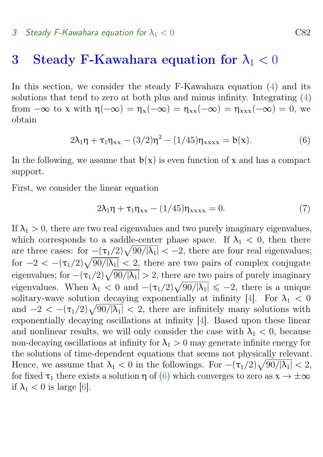### <span id="page-5-2"></span><span id="page-5-1"></span>3 Steady F-Kawahara equation for  $\lambda_1 < 0$

In this section, we consider the steady F-Kawahara equation [\(4\)](#page-2-0) and its solutions that tend to zero at both plus and minus infinity. Integrating [\(4\)](#page-2-0) from  $-\infty$  to x with  $\eta(-\infty) = \eta_x(-\infty) = \eta_{xx}(-\infty) = \eta_{xxx}(-\infty) = 0$ , we obtain

$$
2\lambda_1 \eta + \tau_1 \eta_{xx} - (3/2)\eta^2 - (1/45)\eta_{xxxx} = b(x). \tag{6}
$$

In the following, we assume that  $b(x)$  is even function of x and has a compact support.

First, we consider the linear equation

<span id="page-5-0"></span>
$$
2\lambda_1 \eta + \tau_1 \eta_{xx} - (1/45)\eta_{xxxx} = 0. \tag{7}
$$

If  $\lambda_1 > 0$ , there are two real eigenvalues and two purely imaginary eigenvalues, which corresponds to a saddle-center phase space. If  $\lambda_1 < 0$ , then there are three cases: for  $-(\tau_1/2)\sqrt{90/|\lambda_1|} < -2$ , there are four real eigenvalues; for  $-2 < -(\tau_1/2)\sqrt{90/|\lambda_1|} < 2$ , there are two pairs of complex conjugate eigenvalues; for  $-(\tau_1/2)\sqrt{90/|\lambda_1|} > 2$ , there are two pairs of purely imaginary eigenvalues. When  $\lambda_1 < 0$  and  $-(\tau_1/2)\sqrt{90/|\lambda_1|} \leq -2$ , there is a unique solitary-wave solution decaying exponentially at infinity [\[4\]](#page-17-5). For  $\lambda_1 < 0$ and  $-2 < -(\tau_1/2)\sqrt{90/|\lambda_1|} < 2$ , there are infinitely many solutions with exponentially decaying oscillations at infinity [\[4\]](#page-17-5). Based upon these linear and nonlinear results, we will only consider the case with  $\lambda_1 < 0$ , because non-decaying oscillations at infinity for  $\lambda_1 > 0$  may generate infinite energy for the solutions of time-dependent equations that seems not physically relevant. Hence, we assume that  $\lambda_1 < 0$  in the followings. For  $-(\tau_1/2)\sqrt{90/|\lambda_1|} < 2$ , for fixed  $\tau_1$  there exists a solution  $\eta$  of [\(6\)](#page-5-0) which converges to zero as  $x \to \pm \infty$ if  $\lambda_1 < 0$  is large [\[6\]](#page-17-6).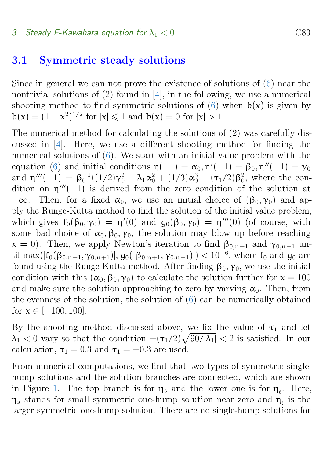#### <span id="page-6-0"></span>3 Steady F-Kawahara equation for  $\lambda_1 < 0$  C83

#### 3.1 Symmetric steady solutions

Since in general we can not prove the existence of solutions of [\(6\)](#page-5-0) near the nontrivial solutions of (2) found in [\[4\]](#page-17-5), in the following, we use a numerical shooting method to find symmetric solutions of [\(6\)](#page-5-0) when  $b(x)$  is given by  $b(x) = (1 - x^2)^{1/2}$  for  $|x| \le 1$  and  $b(x) = 0$  for  $|x| > 1$ .

The numerical method for calculating the solutions of (2) was carefully discussed in [\[4\]](#page-17-5). Here, we use a different shooting method for finding the numerical solutions of [\(6\)](#page-5-0). We start with an initial value problem with the equation [\(6\)](#page-5-0) and initial conditions  $\eta(-1) = \alpha_0, \eta'(-1) = \beta_0, \eta''(-1) = \gamma_0$ and  $\eta'''(-1) = \beta_0^{-1}((1/2)\gamma_0^2 - \lambda_1\alpha_0^2 + (1/3)\alpha_0^3 - (\tau_1/2)\beta_0^2$ , where the condition on  $\eta'''(-1)$  is derived from the zero condition of the solution at  $-\infty$ . Then, for a fixed  $\alpha_0$ , we use an initial choice of  $(\beta_0, \gamma_0)$  and apply the Runge-Kutta method to find the solution of the initial value problem, which gives  $f_0(\beta_0, \gamma_0) = \eta'(0)$  and  $g_0(\beta_0, \gamma_0) = \eta'''(0)$  (of course, with some bad choice of  $\alpha_0, \beta_0, \gamma_0$ , the solution may blow up before reaching  $x = 0$ ). Then, we apply Newton's iteration to find  $\beta_{0,n+1}$  and  $\gamma_{0,n+1}$  until max( $|f_0(\beta_{0,n+1}, \gamma_{0,n+1})|, |g_0(\beta_{0,n+1}, \gamma_{0,n+1})|$ ) < 10<sup>-6</sup>, where  $f_0$  and  $g_0$  are found using the Runge-Kutta method. After finding  $\beta_0$ ,  $\gamma_0$ , we use the initial condition with this  $(\alpha_0, \beta_0, \gamma_0)$  to calculate the solution further for  $x = 100$ and make sure the solution approaching to zero by varying  $\alpha_0$ . Then, from the evenness of the solution, the solution of [\(6\)](#page-5-0) can be numerically obtained for  $x \in [-100, 100]$ .

By the shooting method discussed above, we fix the value of  $\tau_1$  and let  $\lambda_1 < 0$  vary so that the condition  $-(\tau_1/2)\sqrt{90/|\lambda_1|} < 2$  is satisfied. In our calculation,  $\tau_1 = 0.3$  and  $\tau_1 = -0.3$  are used.

From numerical computations, we find that two types of symmetric singlehump solutions and the solution branches are connected, which are shown in Figure [1.](#page-7-0) The top branch is for  $\eta_s$  and the lower one is for  $\eta_i$ . Here,  $\eta_s$  stands for small symmetric one-hump solution near zero and  $\eta_t$  is the larger symmetric one-hump solution. There are no single-hump solutions for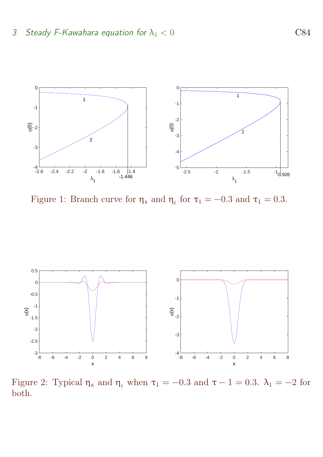

<span id="page-7-0"></span>Figure 1: Branch curve for  $\eta_s$  and  $\eta_t$  for  $\tau_1 = -0.3$  and  $\tau_1 = 0.3$ .



<span id="page-7-1"></span>Figure 2: Typical  $\eta_s$  and  $\eta_t$  when  $\tau_1 = -0.3$  and  $\tau - 1 = 0.3$ .  $\lambda_1 = -2$  for both.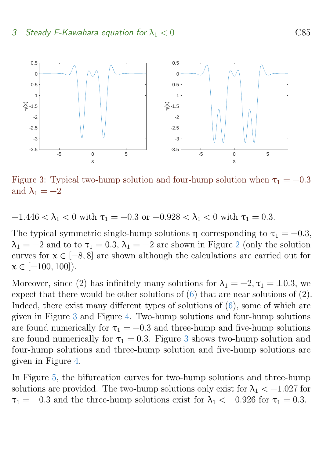#### 3 Steady F-Kawahara equation for  $\lambda_1 < 0$  C85



<span id="page-8-0"></span>Figure 3: Typical two-hump solution and four-hump solution when  $\tau_1 = -0.3$ and  $\lambda_1 = -2$ 

 $-1.446 < \lambda_1 < 0$  with  $\tau_1 = -0.3$  or  $-0.928 < \lambda_1 < 0$  with  $\tau_1 = 0.3$ .

The typical symmetric single-hump solutions  $\eta$  corresponding to  $\tau_1 = -0.3$ ,  $\lambda_1 = -2$  $\lambda_1 = -2$  and to to  $\tau_1 = 0.3$ ,  $\lambda_1 = -2$  are shown in Figure 2 (only the solution curves for  $x \in [-8, 8]$  are shown although the calculations are carried out for  $x \in [-100, 100]$ ).

Moreover, since (2) has infinitely many solutions for  $\lambda_1 = -2, \tau_1 = \pm 0.3$ , we expect that there would be other solutions of [\(6\)](#page-5-0) that are near solutions of (2). Indeed, there exist many different types of solutions of [\(6\)](#page-5-0), some of which are given in Figure [3](#page-8-0) and Figure [4.](#page-9-0) Two-hump solutions and four-hump solutions are found numerically for  $\tau_1 = -0.3$  and three-hump and five-hump solutions are found numerically for  $\tau_1 = 0.3$  $\tau_1 = 0.3$ . Figure 3 shows two-hump solution and four-hump solutions and three-hump solution and five-hump solutions are given in Figure [4.](#page-9-0)

In Figure [5,](#page-9-1) the bifurcation curves for two-hump solutions and three-hump solutions are provided. The two-hump solutions only exist for  $\lambda_1 < -1.027$  for  $\tau_1 = -0.3$  and the three-hump solutions exist for  $\lambda_1 < -0.926$  for  $\tau_1 = 0.3$ .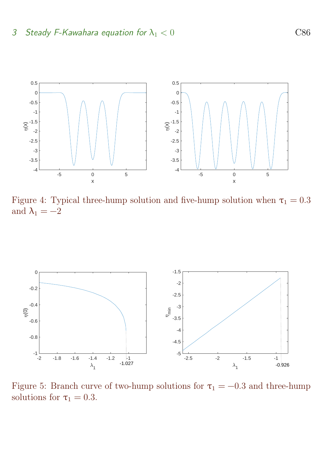

<span id="page-9-0"></span>Figure 4: Typical three-hump solution and five-hump solution when  $\tau_1 = 0.3$ and  $\lambda_1 = -2$ 



<span id="page-9-1"></span>Figure 5: Branch curve of two-hump solutions for  $\tau_1 = -0.3$  and three-hump solutions for  $\tau_1 = 0.3$ .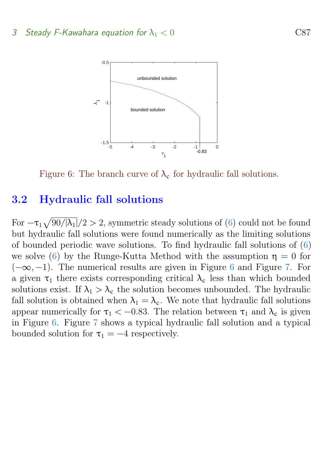

<span id="page-10-0"></span>Figure 6: The branch curve of  $\lambda_c$  for hydraulic fall solutions.

#### 3.2 Hydraulic fall solutions

For  $-\tau_1\sqrt{90/|\lambda_1|}/2 > 2$ , symmetric steady solutions of [\(6\)](#page-5-0) could not be found but hydraulic fall solutions were found numerically as the limiting solutions of bounded periodic wave solutions. To find hydraulic fall solutions of [\(6\)](#page-5-0) we solve [\(6\)](#page-5-0) by the Runge-Kutta Method with the assumption  $\eta = 0$  for  $(-\infty, -1)$ . The numerical results are given in Figure [6](#page-10-0) and Figure [7.](#page-11-0) For a given  $\tau_1$  there exists corresponding critical  $\lambda_c$  less than which bounded solutions exist. If  $\lambda_1 > \lambda_c$  the solution becomes unbounded. The hydraulic fall solution is obtained when  $\lambda_1 = \lambda_c$ . We note that hydraulic fall solutions appear numerically for  $\tau_1 < -0.83$ . The relation between  $\tau_1$  and  $\lambda_c$  is given in Figure [6.](#page-10-0) Figure [7](#page-11-0) shows a typical hydraulic fall solution and a typical bounded solution for  $\tau_1 = -4$  respectively.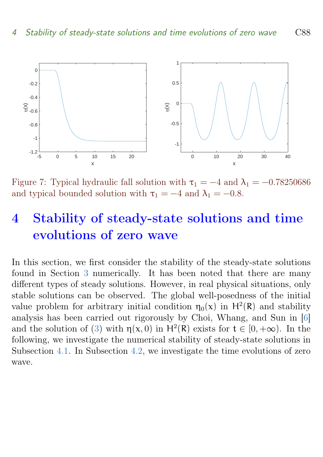<span id="page-11-2"></span>

<span id="page-11-0"></span>Figure 7: Typical hydraulic fall solution with  $\tau_1 = -4$  and  $\lambda_1 = -0.78250686$ and typical bounded solution with  $\tau_1 = -4$  and  $\lambda_1 = -0.8$ .

## 4 Stability of steady-state solutions and time evolutions of zero wave

<span id="page-11-1"></span>In this section, we first consider the stability of the steady-state solutions found in Section [3](#page-5-1) numerically. It has been noted that there are many different types of steady solutions. However, in real physical situations, only stable solutions can be observed. The global well-posedness of the initial value problem for arbitrary initial condition  $\eta_0(x)$  in  $H^2(\mathbb{R})$  and stability analysis has been carried out rigorously by Choi, Whang, and Sun in [\[6\]](#page-17-6) and the solution of [\(3\)](#page-1-1) with  $\eta(x, 0)$  in  $H^2(\mathbb{R})$  exists for  $t \in [0, +\infty)$ . In the following, we investigate the numerical stability of steady-state solutions in Subsection [4.1.](#page-11-1) In Subsection [4.2,](#page-15-0) we investigate the time evolutions of zero wave.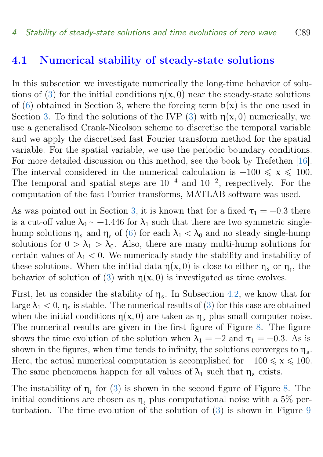#### <span id="page-12-0"></span>4.1 Numerical stability of steady-state solutions

In this subsection we investigate numerically the long-time behavior of solu-tions of [\(3\)](#page-1-1) for the initial conditions  $\eta(x, 0)$  near the steady-state solutions of [\(6\)](#page-5-0) obtained in Section 3, where the forcing term  $b(x)$  is the one used in Section [3.](#page-5-1) To find the solutions of the IVP [\(3\)](#page-1-1) with  $\eta(x, 0)$  numerically, we use a generalised Crank-Nicolson scheme to discretise the temporal variable and we apply the discretised fast Fourier transform method for the spatial variable. For the spatial variable, we use the periodic boundary conditions. For more detailed discussion on this method, see the book by Trefethen [\[16\]](#page-18-9). The interval considered in the numerical calculation is  $-100 \le x \le 100$ . The temporal and spatial steps are  $10^{-4}$  and  $10^{-2}$ , respectively. For the computation of the fast Fourier transforms, MATLAB software was used.

As was pointed out in Section [3,](#page-5-1) it is known that for a fixed  $\tau_1 = -0.3$  there is a cut-off value  $\lambda_0 \sim -1.446$  for  $\lambda_1$  such that there are two symmetric singlehump solutions  $\eta_s$  and  $\eta_t$  of [\(6\)](#page-5-0) for each  $\lambda_1 < \lambda_0$  and no steady single-hump solutions for  $0 > \lambda_1 > \lambda_0$ . Also, there are many multi-hump solutions for certain values of  $\lambda_1 < 0$ . We numerically study the stability and instability of these solutions. When the initial data  $\eta(x,0)$  is close to either  $\eta_s$  or  $\eta_t$ , the behavior of solution of [\(3\)](#page-1-1) with  $\eta(x, 0)$  is investigated as time evolves.

First, let us consider the stability of  $\eta_s$ . In Subsection [4.2,](#page-15-0) we know that for large  $\lambda_1 < 0$ ,  $\eta_s$  is stable. The numerical results of [\(3\)](#page-1-1) for this case are obtained when the initial conditions  $\eta(x, 0)$  are taken as  $\eta_s$  plus small computer noise. The numerical results are given in the first figure of Figure [8.](#page-13-0) The figure shows the time evolution of the solution when  $\lambda_1 = -2$  and  $\tau_1 = -0.3$ . As is shown in the figures, when time tends to infinity, the solutions converges to  $\eta_s$ . Here, the actual numerical computation is accomplished for  $-100 \le x \le 100$ . The same phenomena happen for all values of  $\lambda_1$  such that  $\eta_s$  exists.

The instability of  $\eta_{\ell}$  for [\(3\)](#page-1-1) is shown in the second figure of Figure [8.](#page-13-0) The initial conditions are chosen as  $\eta$ , plus computational noise with a 5% perturbation. The time evolution of the solution of [\(3\)](#page-1-1) is shown in Figure [9](#page-14-0)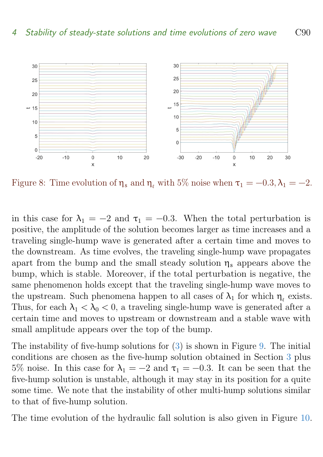

<span id="page-13-0"></span>Figure 8: Time evolution of  $\eta_s$  and  $\eta_t$  with 5% noise when  $\tau_1 = -0.3, \lambda_1 = -2$ .

in this case for  $\lambda_1 = -2$  and  $\tau_1 = -0.3$ . When the total perturbation is positive, the amplitude of the solution becomes larger as time increases and a traveling single-hump wave is generated after a certain time and moves to the downstream. As time evolves, the traveling single-hump wave propagates apart from the bump and the small steady solution  $\eta_s$  appears above the bump, which is stable. Moreover, if the total perturbation is negative, the same phenomenon holds except that the traveling single-hump wave moves to the upstream. Such phenomena happen to all cases of  $\lambda_1$  for which  $\eta_\ell$  exists. Thus, for each  $\lambda_1 < \lambda_0 < 0$ , a traveling single-hump wave is generated after a certain time and moves to upstream or downstream and a stable wave with small amplitude appears over the top of the bump.

The instability of five-hump solutions for [\(3\)](#page-1-1) is shown in Figure [9.](#page-14-0) The initial conditions are chosen as the five-hump solution obtained in Section [3](#page-5-1) plus 5% noise. In this case for  $\lambda_1 = -2$  and  $\tau_1 = -0.3$ . It can be seen that the five-hump solution is unstable, although it may stay in its position for a quite some time. We note that the instability of other multi-hump solutions similar to that of five-hump solution.

The time evolution of the hydraulic fall solution is also given in Figure [10.](#page-14-1)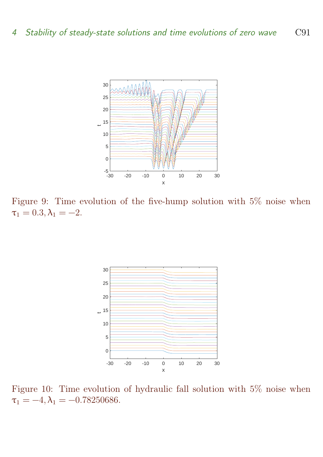

<span id="page-14-0"></span>Figure 9: Time evolution of the five-hump solution with 5% noise when  $\tau_1 = 0.3, \lambda_1 = -2.$ 



<span id="page-14-1"></span>Figure 10: Time evolution of hydraulic fall solution with 5% noise when  $\tau_1 = -4, \lambda_1 = -0.78250686.$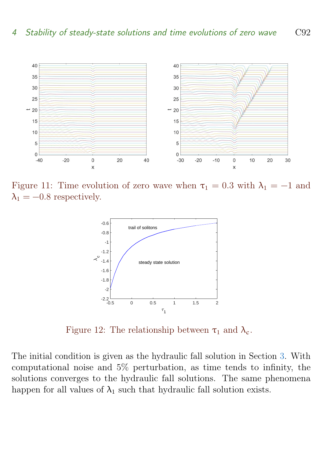

Figure 11: Time evolution of zero wave when  $\tau_1 = 0.3$  with  $\lambda_1 = -1$  and  $\lambda_1 = -0.8$  respectively.

<span id="page-15-1"></span>

<span id="page-15-2"></span>Figure 12: The relationship between  $\tau_1$  and  $\lambda_c$ .

<span id="page-15-0"></span>The initial condition is given as the hydraulic fall solution in Section [3.](#page-5-1) With computational noise and 5% perturbation, as time tends to infinity, the solutions converges to the hydraulic fall solutions. The same phenomena happen for all values of  $\lambda_1$  such that hydraulic fall solution exists.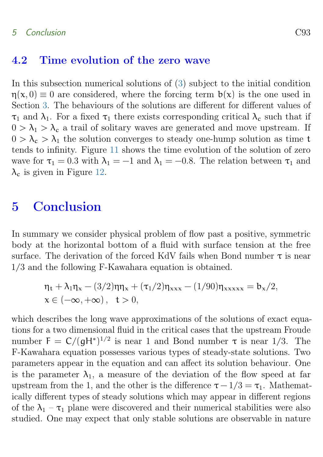#### 4.2 Time evolution of the zero wave

In this subsection numerical solutions of [\(3\)](#page-1-1) subject to the initial condition  $\eta(x,0) \equiv 0$  are considered, where the forcing term  $b(x)$  is the one used in Section [3.](#page-5-1) The behaviours of the solutions are different for different values of  $\tau_1$  and  $\lambda_1$ . For a fixed  $\tau_1$  there exists corresponding critical  $\lambda_c$  such that if  $0 > \lambda_1 > \lambda_c$  a trail of solitary waves are generated and move upstream. If  $0 > \lambda_c > \lambda_1$  the solution converges to steady one-hump solution as time t tends to infinity. Figure [11](#page-15-1) shows the time evolution of the solution of zero wave for  $\tau_1 = 0.3$  with  $\lambda_1 = -1$  and  $\lambda_1 = -0.8$ . The relation between  $\tau_1$  and  $\lambda_c$  is given in Figure [12.](#page-15-2)

## 5 Conclusion

In summary we consider physical problem of flow past a positive, symmetric body at the horizontal bottom of a fluid with surface tension at the free surface. The derivation of the forced KdV fails when Bond number  $\tau$  is near 1/3 and the following F-Kawahara equation is obtained.

$$
\eta_t + \lambda_1 \eta_x - (3/2) \eta \eta_x + (\tau_1/2) \eta_{xxx} - (1/90) \eta_{xxxxx} = b_x/2,
$$
  

$$
x \in (-\infty, +\infty), \quad t > 0,
$$

which describes the long wave approximations of the solutions of exact equations for a two dimensional fluid in the critical cases that the upstream Froude number  $F = C/(gH^*)^{1/2}$  is near 1 and Bond number  $\tau$  is near 1/3. The F-Kawahara equation possesses various types of steady-state solutions. Two parameters appear in the equation and can affect its solution behaviour. One is the parameter  $\lambda_1$ , a measure of the deviation of the flow speed at far upstream from the 1, and the other is the difference  $\tau - 1/3 = \tau_1$ . Mathematically different types of steady solutions which may appear in different regions of the  $\lambda_1 - \tau_1$  plane were discovered and their numerical stabilities were also studied. One may expect that only stable solutions are observable in nature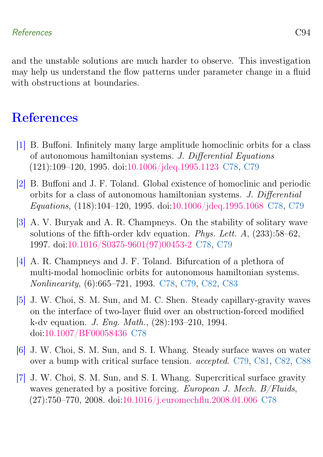and the unstable solutions are much harder to observe. This investigation may help us understand the flow patterns under parameter change in a fluid with obstructions at boundaries.

## **References**

- <span id="page-17-2"></span>[1] B. Buffoni. Infinitely many large amplitude homoclinic orbits for a class of autonomous hamiltonian systems. J. Differential Equations (121):109–120, 1995. doi[:10.1006/jdeq.1995.1123](https://doi.org/10.1006/jdeq.1995.1123) [C78,](#page-1-2) [C79](#page-2-1)
- <span id="page-17-3"></span>[2] B. Buffoni and J. F. Toland. Global existence of homoclinic and periodic orbits for a class of autonomous hamiltonian systems. J. Differential Equations, (118):104–120, 1995. doi[:10.1006/jdeq.1995.1068](https://doi.org/10.1006/jdeq.1995.1068) [C78,](#page-1-2) [C79](#page-2-1)
- <span id="page-17-4"></span>[3] A. V. Buryak and A. R. Champneys. On the stability of solitary wave solutions of the fifth-order kdv equation. Phys. Lett. A, (233):58–62, 1997. doi[:10.1016/S0375-9601\(97\)00453-2](https://doi.org/10.1016/S0375-9601(97)00453-2) [C78,](#page-1-2) [C79](#page-2-1)
- <span id="page-17-5"></span>[4] A. R. Champneys and J. F. Toland. Bifurcation of a plethora of multi-modal homoclinic orbits for autonomous hamiltonian systems. Nonlinearity, (6):665–721, 1993. [C78,](#page-1-2) [C79,](#page-2-1) [C82,](#page-5-2) [C83](#page-6-0)
- <span id="page-17-0"></span>[5] J. W. Choi, S. M. Sun, and M. C. Shen. Steady capillary-gravity waves on the interface of two-layer fluid over an obstruction-forced modified k-dv equation. J. Eng. Math., (28):193–210, 1994. doi[:10.1007/BF00058436](https://doi.org/10.1007/BF00058436) [C78](#page-1-2)
- <span id="page-17-6"></span>[6] J. W. Choi, S. M. Sun, and S. I. Whang. Steady surface waves on water over a bump with critical surface tension. accepted. [C79,](#page-2-1) [C81,](#page-4-0) [C82,](#page-5-2) [C88](#page-11-2)
- <span id="page-17-1"></span>[7] J. W. Choi, S. M. Sun, and S. I. Whang. Supercritical surface gravity waves generated by a positive forcing. European J. Mech. B/Fluids, (27):750–770, 2008. doi[:10.1016/j.euromechflu.2008.01.006](https://doi.org/10.1016/j.euromechflu.2008.01.006) [C78](#page-1-2)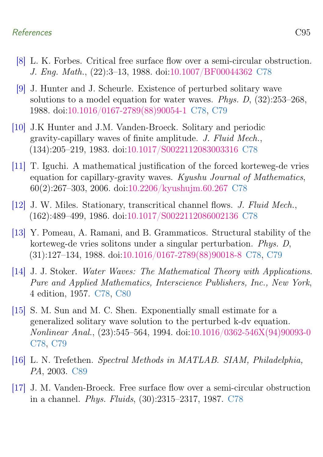#### References C95

- <span id="page-18-1"></span>[8] L. K. Forbes. Critical free surface flow over a semi-circular obstruction. J. Eng. Math., (22):3–13, 1988. doi[:10.1007/BF00044362](https://doi.org/10.1007/BF00044362) [C78](#page-1-2)
- <span id="page-18-6"></span>[9] J. Hunter and J. Scheurle. Existence of perturbed solitary wave solutions to a model equation for water waves. Phys. D, (32):253–268, 1988. doi[:10.1016/0167-2789\(88\)90054-1](https://doi.org/10.1016/0167-2789(88)90054-1) [C78,](#page-1-2) [C79](#page-2-1)
- <span id="page-18-5"></span>[10] J.K Hunter and J.M. Vanden-Broeck. Solitary and periodic gravity-capillary waves of finite amplitude. J. Fluid Mech., (134):205–219, 1983. doi[:10.1017/S0022112083003316](https://doi.org/10.1017/S0022112083003316) [C78](#page-1-2)
- <span id="page-18-2"></span>[11] T. Iguchi. A mathematical justification of the forced korteweg-de vries equation for capillary-gravity waves. Kyushu Journal of Mathematics, 60(2):267–303, 2006. doi[:10.2206/kyushujm.60.267](https://doi.org/10.2206/kyushujm.60.267) [C78](#page-1-2)
- <span id="page-18-3"></span>[12] J. W. Miles. Stationary, transcritical channel flows. J. Fluid Mech., (162):489–499, 1986. doi[:10.1017/S0022112086002136](https://doi.org/10.1017/S0022112086002136) [C78](#page-1-2)
- <span id="page-18-7"></span>[13] Y. Pomeau, A. Ramani, and B. Grammaticos. Structural stability of the korteweg-de vries solitons under a singular perturbation. Phys. D, (31):127–134, 1988. doi[:10.1016/0167-2789\(88\)90018-8](https://doi.org/10.1016/0167-2789(88)90018-8) [C78,](#page-1-2) [C79](#page-2-1)
- <span id="page-18-0"></span>[14] J. J. Stoker. Water Waves: The Mathematical Theory with Applications. Pure and Applied Mathematics, Interscience Publishers, Inc., New York, 4 edition, 1957. [C78,](#page-1-2) [C80](#page-3-0)
- <span id="page-18-8"></span>[15] S. M. Sun and M. C. Shen. Exponentially small estimate for a generalized solitary wave solution to the perturbed k-dv equation. Nonlinear Anal., (23):545–564, 1994. doi[:10.1016/0362-546X\(94\)90093-0](https://doi.org/10.1016/0362-546X(94)90093-0) [C78,](#page-1-2) [C79](#page-2-1)
- <span id="page-18-9"></span>[16] L. N. Trefethen. Spectral Methods in MATLAB. SIAM, Philadelphia, PA, 2003. [C89](#page-12-0)
- <span id="page-18-4"></span>[17] J. M. Vanden-Broeck. Free surface flow over a semi-circular obstruction in a channel. Phys. Fluids, (30):2315–2317, 1987. [C78](#page-1-2)